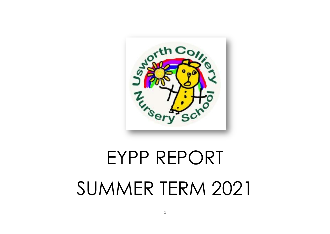

# EYPP REPORT SUMMER TERM 2021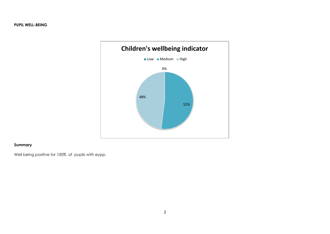### **PUPIL WELL-BEING**



# **Summary**

Well being positive for 100% of pupils with eypp.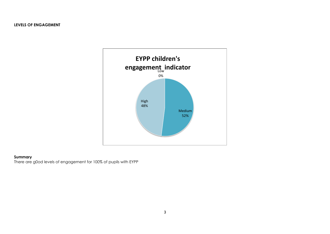

# **Summary**

There are g0od levels of engagement for 100% of pupils with EYPP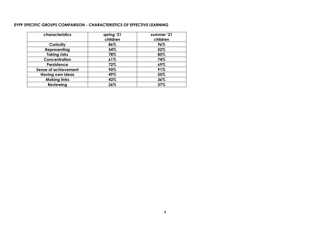#### **EYPP SPECIFIC GROUPS COMPARISON - CHARACTERISTICS OF EFFECTIVE LEARNING**

| characteristics             | spring '21 | summer '21 |
|-----------------------------|------------|------------|
|                             | children   | children   |
| Curiosity                   | 86%        | 96%        |
| Representing                | 54%        | 52%        |
| <b>Taking risks</b>         | 78%        | 85%        |
| Concentration               | 61%        | 74%        |
| Persistence                 | 72%        | 69%        |
| <b>Sense of achievement</b> | 90%        | 91%        |
| <b>Having own ideas</b>     | 49%        | 55%        |
| <b>Making links</b>         | 43%        | 36%        |
| <b>Reviewing</b>            | 26%        | 37%        |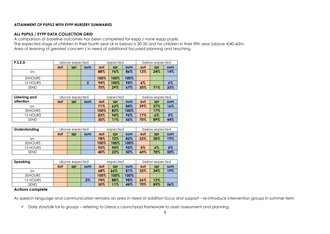#### **ATTAINMENT OF PUPILS WITH EYPP NURSERY SUMMARIES**

#### **ALL PUPILS / EYPP DATA COLLECTION GRID**

A comparison of baseline outcomes has been completed for eypp / none eypp pupils. The expected stage of children in their fourth year (4 or below) is 30-50 and for children in their fifth year (above 4)40-60m. Area of learning of greatest concern / in need of additional focussed planning and teaching

| P.S.E.D     |     | above expected |     |      | expected |      | below expected |     |     |
|-------------|-----|----------------|-----|------|----------|------|----------------|-----|-----|
|             | aut | spr            | sum | aut  | spr      | sum  | aut            | spr | sum |
| av.         |     |                |     | 88%  | 76%      | 86%  | 12%            | 24% | 14% |
| 30HOURS     |     |                |     | 100% | 100%     | 100% |                |     |     |
| 15 HOURS    |     |                |     | 94%  | 100%     | 94%  | $6\%$          |     | 6%  |
| <b>SEND</b> |     |                |     | 70%  | 29%      | 67%  | 30%            | 71% | 33% |

| Listening and |     |     | above expected |      | expected |      |     | below expected |     |  |
|---------------|-----|-----|----------------|------|----------|------|-----|----------------|-----|--|
| attention     | aut | spr | sum            | aut  | spr      | sum  | aut | spr            | sum |  |
| QV.           |     |     |                | 71%  | 63%      | 84%  | 29% | 37%            | 16% |  |
| 30HOURS       |     |     |                | 100% | 83%      | 100% |     | 17%            |     |  |
| 15 HOURS      |     |     |                | 83%  | 94%      | 95%  | 17% | 6%             | 5%  |  |
| <b>SEND</b>   |     |     |                | 30%  | 11%      | 56%  | 70% | 89%            | 44% |  |

| Understanding |     | above expected |     |      | expected |      | below expected |       |     |
|---------------|-----|----------------|-----|------|----------|------|----------------|-------|-----|
|               | aut | spr            | sum | aut  | spr      | sum  | aut            | spr   | sum |
| av.           |     |                |     | 78%  | 72%      | 82%  | 22%            | 28%   | 19% |
| 30HOURS       |     |                |     | 100% | 100%     | 100% |                |       |     |
| 15 HOURS      |     |                |     | 95%  | 94%      | 95%  | 5%             | $6\%$ | 5%  |
| <b>SEND</b>   |     |                |     | 40%  | 22%      | 50%  | 60%            | 78%   | 50% |

| Speaking        | above expected |     |     | expected |      | below expected |     |        |     |
|-----------------|----------------|-----|-----|----------|------|----------------|-----|--------|-----|
|                 | aut            | spr | sum | aut      | spr  | sum            | aut | spr    | sum |
| av.             |                |     |     | 68%      | 66%  | 81%            | 32% | 34%    | 19% |
| 30HOURS         |                |     |     | 100%     | 100% | 100%           |     |        |     |
| <b>15 HOURS</b> |                |     | 2%  | 74%      | 88%  | 98%            | 26% | $12\%$ |     |
| <b>SEND</b>     |                |     |     | 30%      | 11%  | 44%            | 70% | 89%    | 56% |

## **Actions complete**

As speech language and communication remains an area in need of addition focus and support – re-introduce intervention groups in summer term

Daily storytalk for la groups – referring to Literacy Launchpad framework to assist assessment and planning.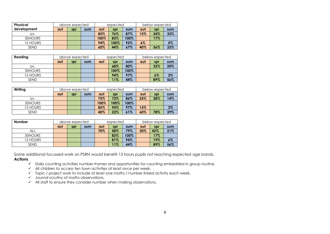| <b>Physical</b> |     | above expected |     |      | expected |      |       | below expected |     |
|-----------------|-----|----------------|-----|------|----------|------|-------|----------------|-----|
| development     | aut | spr            | sum | aut  | spr      | sum  | aut   | spr            | sum |
| av.             |     |                |     | 85%  | 76%      | 87%  | 15%   | 24%            | 33% |
| 30HOURS         |     |                |     | 100% | 83%      | 100% |       | 17%            |     |
| 15 HOURS        |     |                |     | 94%  | 100%     | 95%  | $6\%$ |                | 5%  |
| <b>SEND</b>     |     |                |     | 60%  | 44%      | 67%  | 40%   | 56%            | 33% |

| Reading     |     | above expected |     |     | expected |      | below expected |       |       |
|-------------|-----|----------------|-----|-----|----------|------|----------------|-------|-------|
|             | aut | spr            | sum | aut | spr      | sum  | aut            | spr   | sum   |
| av.         |     |                |     |     | 68%      | 80%  |                | 32%   | 20%   |
| 30HOURS     |     |                |     |     | 100%     | 100% |                |       |       |
| 15 HOURS    |     |                |     |     | 94%      | 97%  |                | $6\%$ | $3\%$ |
| <b>SEND</b> |     |                |     |     | 11%      | 44%  |                | 89%   | 56%   |

| Writing         |     | above expected |     |      | expected |      | below expected |     |       |
|-----------------|-----|----------------|-----|------|----------|------|----------------|-----|-------|
|                 | aut | spr            | sum | aut  | spr      | sum  | aut            | spr | sum   |
| av.             |     |                |     | 75%  | 72%      | 86%  | 25%            | 28% | 14%   |
| 30HOURS         |     |                |     | 100% | 100%     | 100% |                |     |       |
| <b>15 HOURS</b> |     |                |     | 85%  | 94%      | 97%  | 15%            |     | $3\%$ |
| <b>SEND</b>     |     |                |     | 40%  | 22%      | 61%  | 60%            | 78% | 39%   |

| <b>Number</b> |     | above expected |     |     | expected |      | below expected |     |       |
|---------------|-----|----------------|-----|-----|----------|------|----------------|-----|-------|
|               | aut | spr            | sum | aut | spr      | sum  | aut            | spr | sum   |
| ALL           |     |                |     | 70% | 58%      | 79%  | 30%            | 42% | 21%   |
| 30HOURS       |     |                |     |     | 83%      | 100% |                | 17% |       |
| 15 HOURS      |     |                |     |     | 81%      | 94%  |                | 19% | $6\%$ |
| <b>SEND</b>   |     |                |     |     | 11%      | 44%  |                | 89% | 56%   |

Some additional focussed work on PSRN would benefit 15 hours pupils not reaching expected age bands. **Actions**

- $\checkmark$  Daily counting activities number rhymes and opportunities for counting embedded in group routine.
- $\checkmark$  All children to access ten town activities at least once per week.
- $\checkmark$  Topic / project work to include at least one maths / number linked activity each week.
- $\checkmark$  Journal scrutiny of maths observations.
- $\checkmark$  All staff to ensure they consider number when making observations.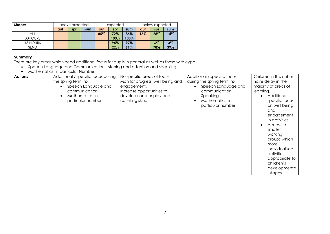| Shapes      |     | above expected |     |     | expected |      | below expected |       |     |
|-------------|-----|----------------|-----|-----|----------|------|----------------|-------|-----|
|             | aut | spr            | sum | aut | spr      | sum  | aut            | spr   | sum |
| ALL         |     |                |     | 85% | 72%      | 86%  | 15%            | 28%   | 14% |
| 30HOURS     |     |                |     |     | 100%     | 100% |                |       |     |
| 15 HOURS    |     |                |     |     | 94%      | 97%  |                | $6\%$ | 3%  |
| <b>SEND</b> |     |                |     |     | 22%      | 61%  |                | 78%   | 39% |

#### **Summary**

There are key areas which need additional focus for pupils in general as well as those with eypp.

- Speech Language and Communication, listening and attention and speaking.
- Mathematics, in particular Number.

| <b>Actions</b><br>Additional / specific focus during<br>the spring term in:-<br>Speech Language and<br>communication<br>Mathematics, in<br>particular number. | No specific areas of focus.<br>Monitor progress, well being and<br>engagement.<br>Increase opportunities to<br>develop number play and<br>counting skills. | Additional / specific focus<br>during the spring term in:-<br>Speech Language and<br>communication<br>Speaking.<br>Mathematics, in<br>particular number. | Children in this cohort<br>have delay in the<br>majority of areas of<br>learning.<br>Additional<br>specific focus<br>on well being<br>and<br>engagement<br>in activities.<br>Access to<br>smaller<br>working<br>groups which<br>more<br>individualised<br>activities,<br>appropriate to<br>children's<br>developmenta<br>I stages. |
|---------------------------------------------------------------------------------------------------------------------------------------------------------------|------------------------------------------------------------------------------------------------------------------------------------------------------------|----------------------------------------------------------------------------------------------------------------------------------------------------------|------------------------------------------------------------------------------------------------------------------------------------------------------------------------------------------------------------------------------------------------------------------------------------------------------------------------------------|
|---------------------------------------------------------------------------------------------------------------------------------------------------------------|------------------------------------------------------------------------------------------------------------------------------------------------------------|----------------------------------------------------------------------------------------------------------------------------------------------------------|------------------------------------------------------------------------------------------------------------------------------------------------------------------------------------------------------------------------------------------------------------------------------------------------------------------------------------|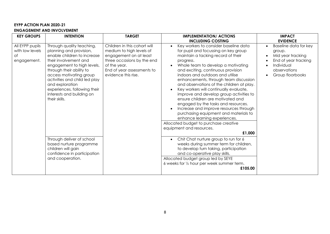# **EYPP ACTION PLAN 2020-21 ENGAGEMENT AND INVOLVEMENT**

| <b>KEY GROUPS</b>                                       | <b>INTENTION</b>                                                                                                                                                                                                                                                                                                                                                                                                                                                     | <b>TARGET</b>                                                                                                                                                                         | <b>IMPLEMENTATION/ ACTIONS</b><br><b>INCLUDING COSTING</b>                                                                                                                                                                                                                                                                                                                                                                                                                                                                                                                                                                                                                                                                                                                                                                                                                                                                                                            | <b>IMPACT</b><br><b>EVIDENCE</b>                                                                                               |
|---------------------------------------------------------|----------------------------------------------------------------------------------------------------------------------------------------------------------------------------------------------------------------------------------------------------------------------------------------------------------------------------------------------------------------------------------------------------------------------------------------------------------------------|---------------------------------------------------------------------------------------------------------------------------------------------------------------------------------------|-----------------------------------------------------------------------------------------------------------------------------------------------------------------------------------------------------------------------------------------------------------------------------------------------------------------------------------------------------------------------------------------------------------------------------------------------------------------------------------------------------------------------------------------------------------------------------------------------------------------------------------------------------------------------------------------------------------------------------------------------------------------------------------------------------------------------------------------------------------------------------------------------------------------------------------------------------------------------|--------------------------------------------------------------------------------------------------------------------------------|
| All EYPP pupils<br>with low levels<br>Оf<br>engagement. | Through quality teaching,<br>planning and provision,<br>enable children to increase<br>their involvement and<br>engagement to high levels,<br>through their ability to<br>access motivating group<br>activities and child led play<br>and exploration<br>experiences, following their<br>interests and building on<br>their skills.<br>Through deliver of school<br>based nurture programme<br>children will gain<br>confidence in participation<br>and cooperation. | Children in this cohort will<br>medium to high levels of<br>engagement on at least<br>three occasions by the end<br>of the year.<br>End of year assessments to<br>evidence this rise. | Key workers to consider baseline data<br>for pupil and focussing on key group<br>maintain a tacking record of their<br>progress.<br>Whole team to develop a motivating<br>and exciting, continuous provision<br>indoors and outdoors and utilise<br>enhancements, through team discussion<br>and observations of the children at play.<br>Key workers will continually evaluate,<br>improve and develop group activities to<br>ensure children are motivated and<br>engaged by the tasks and resources.<br>Increase and improve resources through<br>purchasing equipment and materials to<br>enhance learning experiences.<br>Allocated budget to purchase creative<br>equipment and resources.<br>£1,000<br>Chit Chat nurture group to run for 6<br>weeks during summer term for children,<br>to develop turn taking, participation<br>and co-operative play skills.<br>Allocated budget group led by SEYE<br>6 weeks for 1/2 hour per week summer term.<br>£105.00 | Baseline data for key<br>group.<br>Mid year tracking<br>End of year tracking<br>Individual<br>observations<br>Group floorbooks |
|                                                         |                                                                                                                                                                                                                                                                                                                                                                                                                                                                      |                                                                                                                                                                                       |                                                                                                                                                                                                                                                                                                                                                                                                                                                                                                                                                                                                                                                                                                                                                                                                                                                                                                                                                                       |                                                                                                                                |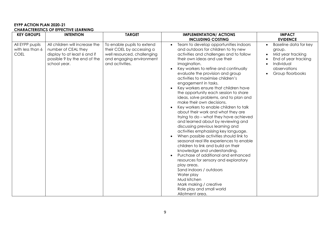#### **EYPP ACTION PLAN 2020-21 CHARACTERISTICS OF EFFECTIVE LEARNING**

| <b>KEY GROUPS</b>                                  | <b>INTENTION</b>                                                                                                                      | <b>TARGET</b>                                                                                                                         | <b>IMPLEMENTATION/ ACTIONS</b>                                                                                                                                                                                                                                                                                                                                                                                                                                                                                                                                                                                                                                                                                                                                                                                                                                                                                                                                                                                                                                                                                                                      | <b>IMPACT</b>                                                                                                                                                  |
|----------------------------------------------------|---------------------------------------------------------------------------------------------------------------------------------------|---------------------------------------------------------------------------------------------------------------------------------------|-----------------------------------------------------------------------------------------------------------------------------------------------------------------------------------------------------------------------------------------------------------------------------------------------------------------------------------------------------------------------------------------------------------------------------------------------------------------------------------------------------------------------------------------------------------------------------------------------------------------------------------------------------------------------------------------------------------------------------------------------------------------------------------------------------------------------------------------------------------------------------------------------------------------------------------------------------------------------------------------------------------------------------------------------------------------------------------------------------------------------------------------------------|----------------------------------------------------------------------------------------------------------------------------------------------------------------|
| All EYPP pupils<br>with less than 6<br><b>COEL</b> | All children will increase the<br>number of CEAL they<br>display to at least 6 and if<br>possible 9 by the end of the<br>school year. | To enable pupils to extend<br>their COEL by accessing a<br>well resourced, challenging<br>and engaging environment<br>and activities. | <b>INCLUDING COSTING</b><br>Team to develop opportunities indoors<br>and outdoors for children to try new<br>activities and challenges and to follow<br>their own ideas and use their<br>imagination.<br>Key workers to refine and continually<br>evaluate the provision and group<br>activities to maximise children's<br>engagement in tasks.<br>Key workers ensure that children have<br>the opportunity each session to share<br>ideas, solve problems, and to plan and<br>make their own decisions.<br>Key workers to enable children to talk<br>about their work and what they are<br>trying to do - what they have achieved<br>and learned about by reviewing and<br>discussing previous learning and<br>activities emphasising key language.<br>When possible activities should link to<br>seasonal real life experiences to enable<br>children to link and build on their<br>knowledge and understanding.<br>Purchase of additional and enhanced<br>resources for sensory and exploratory<br>play areas.<br>Sand indoors / outdoors<br>Water play<br>Mud kitchen<br>Mark making / creative<br>Role play and small world<br>Allotment area. | <b>EVIDENCE</b><br>Baseline data for key<br>$\bullet$<br>group.<br>Mid year tracking<br>End of year tracking<br>Individual<br>observations<br>Group floorbooks |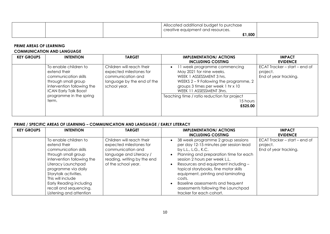|  | Allocated additional budget to purchase<br><i>creative equipment and resources.</i> |  |
|--|-------------------------------------------------------------------------------------|--|
|  | £1,500                                                                              |  |

# **PRIME AREAS OF LEARNING COMMUNICATION AND LANGUAGE**

| <b>KEY GROUPS</b> | <b>INTENTION</b>                                                                                                                                                                       | <b>TARGET</b>                                                                                                           | <b>IMPLEMENTATION/ ACTIONS</b><br><b>INCLUDING COSTING</b>                                                                                                                                                                                                             | <b>IMPACT</b><br><b>EVIDENCE</b>                                   |
|-------------------|----------------------------------------------------------------------------------------------------------------------------------------------------------------------------------------|-------------------------------------------------------------------------------------------------------------------------|------------------------------------------------------------------------------------------------------------------------------------------------------------------------------------------------------------------------------------------------------------------------|--------------------------------------------------------------------|
|                   | To enable children to<br>extend their<br>communication skills<br>through small group<br>intervention following the<br><b>ICAN Early Talk Boost</b><br>programme in the spring<br>term. | Children will reach their<br>expected milestones for<br>communication and<br>language by the end of the<br>school year. | 1 week programme commencing<br>May 2021 for nine weeks.<br>WEEK 1 ASSESSMENT 3 hrs.<br>WEEKS $2 - 9$ Following the programme, 2<br>groups 3 times per week 1 hr x 10<br>WEEK 11 ASSESSMENT 3hrs.<br>Teaching time / ratio reduction for project<br>15 hours<br>£525.00 | ECAT Tracker – start – end of<br>project.<br>End of year tracking. |

# **PRIME / SPECIFIC AREAS OF LEARNING – COMMUNICATION AND LANGUAGE / EARLY LITERACY**

| <b>KEY GROUPS</b> | <b>INTENTION</b>                                                                                                                                                                                                                                                                                     | <b>TARGET</b>                                                                                                                                              | <b>IMPLEMENTATION/ ACTIONS</b><br><b>INCLUDING COSTING</b>                                                                                                                                                                                                                                                                                                                                                             | <b>IMPACT</b><br><b>EVIDENCE</b>                                   |
|-------------------|------------------------------------------------------------------------------------------------------------------------------------------------------------------------------------------------------------------------------------------------------------------------------------------------------|------------------------------------------------------------------------------------------------------------------------------------------------------------|------------------------------------------------------------------------------------------------------------------------------------------------------------------------------------------------------------------------------------------------------------------------------------------------------------------------------------------------------------------------------------------------------------------------|--------------------------------------------------------------------|
|                   | To enable children to<br>extend their<br>communication skills<br>through small group<br>intervention following the<br>Literacy Launchpad<br>programme via daily<br>Storytalk activities.<br>This will include<br><b>Early Reading including</b><br>recall and sequencing.<br>Listening and attention | Children will reach their<br>expected milestones for<br>communication and<br>language and Literacy /<br>reading, writing by the end<br>of the school year. | 38 week programme 2 group sessions<br>per day 12-15 minutes per session lead<br>by L.L., L.G., K.C.<br>Planning and preparation time for each<br>session 2 hours per week L.L.<br>Resources and equipment including -<br>topical storybooks, fine motor skills<br>equipment, printing and laminating<br>costs.<br>Baseline assessments and frequent<br>assessments following the Launchpad<br>tracker for each cohort. | ECAT Tracker - start - end of<br>project.<br>End of year tracking. |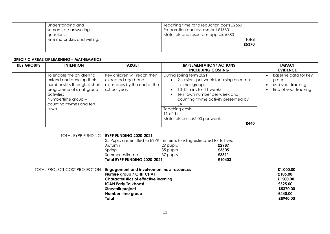| Understanding and              | Teaching time ratio reduction costs £2660 |       |  |
|--------------------------------|-------------------------------------------|-------|--|
| semantics / answering          | Preparation and assessment £1330          |       |  |
| questions.                     | Materials and resources approx. £380      |       |  |
| Fine motor skills and writing. |                                           | Total |  |
|                                |                                           | £5370 |  |
|                                |                                           |       |  |

# **SPECIFIC AREAS OF LEARNING – MATHEMATICS**

| <b>KEY GROUPS</b> | <b>INTENTION</b>                                                                                                                                                                           | <b>TARGET</b>                                                                                      | <b>IMPLEMENTATION/ ACTIONS</b><br><b>INCLUDING COSTING</b>                                                                                                                                                                                                                      | <b>IMPACT</b><br><b>EVIDENCE</b>                                             |
|-------------------|--------------------------------------------------------------------------------------------------------------------------------------------------------------------------------------------|----------------------------------------------------------------------------------------------------|---------------------------------------------------------------------------------------------------------------------------------------------------------------------------------------------------------------------------------------------------------------------------------|------------------------------------------------------------------------------|
|                   | To enable the children to<br>extend and develop their<br>number skills through a short<br>programme of small group<br>activities<br>Numbertime group -<br>counting rhymes and ten<br>town. | Key children will reach their<br>expected age band<br>milestones by the end of the<br>school year. | During spring term 2021<br>2 sessions per week focussing on maths<br>in small group.<br>10-15 mins for 11 weeks.<br>Ten town number per week and<br>counting rhyme activity presented by<br>JA.<br>Teaching costs<br>$11 \times 1$ hr<br>Materials costs £5.00 per week<br>£440 | Baseline data for key<br>group.<br>Mid year tracking<br>End of year tracking |

| <b>TOTAL EYPP FUNDING</b>            | <b>EYPP FUNDING 2020-2021</b>                                             |           |        |           |
|--------------------------------------|---------------------------------------------------------------------------|-----------|--------|-----------|
|                                      | 35 Pupils are entitled to EYPP this term, funding estimated for full year |           |        |           |
|                                      | Autumn                                                                    | 29 pupils | £2987  |           |
|                                      | Spring                                                                    | 35 pupils | £3605  |           |
|                                      | Summer estimate                                                           | 37 pupils | £3811  |           |
|                                      | Total EYPP FUNDING 2020-2021                                              |           | £10403 |           |
|                                      |                                                                           |           |        |           |
| <b>TOTAL PROJECT COST PROJECTION</b> | <b>Engagement and involvement new resources</b>                           |           |        | £1,000.00 |
|                                      | Nurture group / CHIT CHAT                                                 |           |        | £105.00   |
|                                      | <b>Characteristics of effective learning</b>                              |           |        | £1500.00  |
|                                      | <b>ICAN Early Talkboost</b>                                               |           |        | £525.00   |
|                                      | Storytalk project                                                         |           |        | £5370.00  |
|                                      | Number time group                                                         |           |        | £440.00   |
|                                      | Total                                                                     |           |        | £8940.00  |